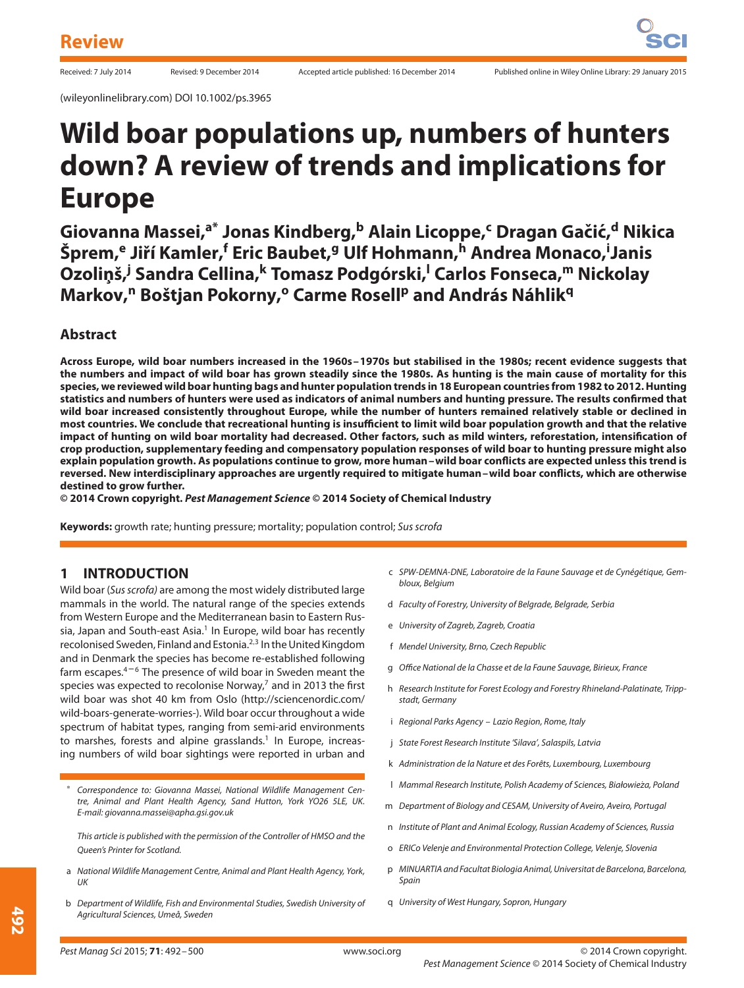# **Wild boar populations up, numbers of hunters down? A review of trends and implications for Europe**

**Giovanna Massei,a\* Jonas Kindberg,<sup>b</sup> Alain Licoppe,<sup>c</sup> Dragan Gaciˇ c,´ <sup>d</sup> Nikica**  $\check{\textbf{S}}$ prem, $\textbf{^e}$  Jiří Kamler, $\textbf{^f}$  Eric Baubet, $\textbf{^g}$  Ulf Hohmann, $\textbf{^h}$  Andrea Monaco, $\textbf{^i}$ Janis **Ozoli ¸nš,<sup>j</sup> Sandra Cellina,<sup>k</sup> Tomasz Podgórski,l Carlos Fonseca,<sup>m</sup> Nickolay Markov,<sup>n</sup> Boštjan Pokorny,o Carme Rosell<sup>p</sup> and András Náhlik<sup>q</sup>**

## **Abstract**

**Across Europe, wild boar numbers increased in the 1960s–1970s but stabilised in the 1980s; recent evidence suggests that the numbers and impact of wild boar has grown steadily since the 1980s. As hunting is the main cause of mortality for this species, we reviewed wild boar hunting bags and hunter population trends in 18 European countries from 1982 to 2012. Hunting statistics and numbers of hunters were used as indicators of animal numbers and hunting pressure. The results confirmed that wild boar increased consistently throughout Europe, while the number of hunters remained relatively stable or declined in most countries. We conclude that recreational hunting is insufficient to limit wild boar population growth and that the relative impact of hunting on wild boar mortality had decreased. Other factors, such as mild winters, reforestation, intensification of crop production, supplementary feeding and compensatory population responses of wild boar to hunting pressure might also explain population growth. As populations continue to grow, more human–wild boar conflicts are expected unless this trend is reversed. New interdisciplinary approaches are urgently required to mitigate human–wild boar conflicts, which are otherwise destined to grow further.**

**© 2014 Crown copyright.** *Pest Management Science* **© 2014 Society of Chemical Industry**

**Keywords:** growth rate; hunting pressure; mortality; population control; Sus scrofa

## **1 INTRODUCTION**

Wild boar (Sus scrofa) are among the most widely distributed large mammals in the world. The natural range of the species extends from Western Europe and the Mediterranean basin to Eastern Russia, Japan and South-east Asia.<sup>1</sup> In Europe, wild boar has recently recolonised Sweden, Finland and Estonia.2*,*<sup>3</sup> In the United Kingdom and in Denmark the species has become re-established following farm escapes. $4-6$  The presence of wild boar in Sweden meant the species was expected to recolonise Norway, $7$  and in 2013 the first wild boar was shot 40 km from Oslo (http://sciencenordic.com/ wild-boars-generate-worries-). Wild boar occur throughout a wide spectrum of habitat types, ranging from semi-arid environments to marshes, forests and alpine grasslands.<sup>1</sup> In Europe, increasing numbers of wild boar sightings were reported in urban and

<sup>∗</sup> Correspondence to: Giovanna Massei, National Wildlife Management Centre, Animal and Plant Health Agency, Sand Hutton, York YO26 5LE, UK. E-mail: giovanna.massei@apha.gsi.gov.uk

This article is published with the permission of the Controller of HMSO and the Queen's Printer for Scotland.

- a National Wildlife Management Centre, Animal and Plant Health Agency, York, UK
- b Department of Wildlife, Fish and Environmental Studies, Swedish University of Agricultural Sciences, Umeå, Sweden
- c SPW-DEMNA-DNE, Laboratoire de la Faune Sauvage et de Cynégétique, Gembloux, Belgium
- d Faculty of Forestry, University of Belgrade, Belgrade, Serbia
- e University of Zagreb, Zagreb, Croatia
- f Mendel University, Brno, Czech Republic
- g Office National de la Chasse et de la Faune Sauvage, Birieux, France
- h Research Institute for Forest Ecology and Forestry Rhineland-Palatinate, Trippstadt, Germany
- i Regional Parks Agency Lazio Region, Rome, Italy
- j State Forest Research Institute 'Silava', Salaspils, Latvia
- k Administration de la Nature et des Forêts, Luxembourg, Luxembourg
- l Mammal Research Institute, Polish Academy of Sciences, Białowieza, Poland *̇*
- m Department of Biology and CESAM, University of Aveiro, Aveiro, Portugal
- n Institute of Plant and Animal Ecology, Russian Academy of Sciences, Russia
- o ERICo Velenje and Environmental Protection College, Velenje, Slovenia
- p MINUARTIA and Facultat Biologia Animal, Universitat de Barcelona, Barcelona, Spain
- q University of West Hungary, Sopron, Hungary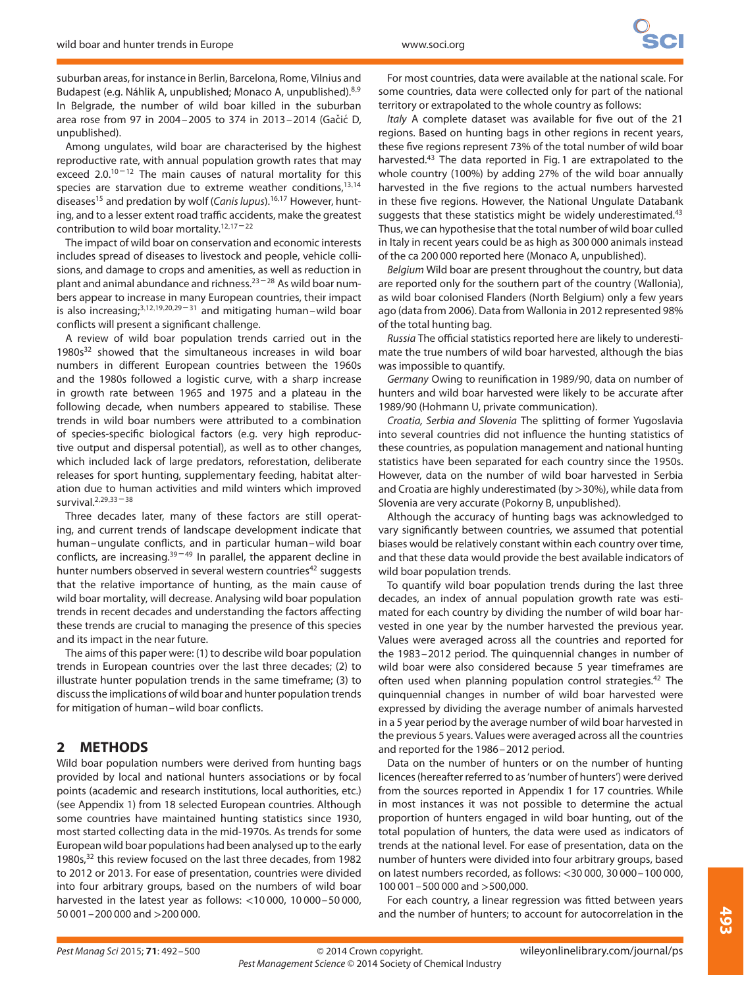suburban areas, for instance in Berlin, Barcelona, Rome, Vilnius and Budapest (e.g. Náhlik A, unpublished; Monaco A, unpublished).8*,*<sup>9</sup> In Belgrade, the number of wild boar killed in the suburban area rose from 97 in 2004-2005 to 374 in 2013-2014 (Gačić D, unpublished).

Among ungulates, wild boar are characterised by the highest reproductive rate, with annual population growth rates that may exceed 2.0.<sup>10-12</sup> The main causes of natural mortality for this species are starvation due to extreme weather conditions,<sup>13,14</sup> diseases<sup>15</sup> and predation by wolf (Canis lupus).<sup>16,17</sup> However, hunting, and to a lesser extent road traffic accidents, make the greatest contribution to wild boar mortality.12*,*<sup>17</sup> – <sup>22</sup>

The impact of wild boar on conservation and economic interests includes spread of diseases to livestock and people, vehicle collisions, and damage to crops and amenities, as well as reduction in plant and animal abundance and richness. $23 - 28$  As wild boar numbers appear to increase in many European countries, their impact is also increasing;3*,*12*,*19*,*20*,*<sup>29</sup> – <sup>31</sup> and mitigating human–wild boar conflicts will present a significant challenge.

A review of wild boar population trends carried out in the  $1980s<sup>32</sup>$  showed that the simultaneous increases in wild boar numbers in different European countries between the 1960s and the 1980s followed a logistic curve, with a sharp increase in growth rate between 1965 and 1975 and a plateau in the following decade, when numbers appeared to stabilise. These trends in wild boar numbers were attributed to a combination of species-specific biological factors (e.g. very high reproductive output and dispersal potential), as well as to other changes, which included lack of large predators, reforestation, deliberate releases for sport hunting, supplementary feeding, habitat alteration due to human activities and mild winters which improved survival.2*,*29*,*<sup>33</sup> – <sup>38</sup>

Three decades later, many of these factors are still operating, and current trends of landscape development indicate that human–ungulate conflicts, and in particular human–wild boar conflicts, are increasing. $39-49$  In parallel, the apparent decline in hunter numbers observed in several western countries<sup>42</sup> suggests that the relative importance of hunting, as the main cause of wild boar mortality, will decrease. Analysing wild boar population trends in recent decades and understanding the factors affecting these trends are crucial to managing the presence of this species and its impact in the near future.

The aims of this paper were: (1) to describe wild boar population trends in European countries over the last three decades; (2) to illustrate hunter population trends in the same timeframe; (3) to discuss the implications of wild boar and hunter population trends for mitigation of human–wild boar conflicts.

# **2 METHODS**

Wild boar population numbers were derived from hunting bags provided by local and national hunters associations or by focal points (academic and research institutions, local authorities, etc.) (see Appendix 1) from 18 selected European countries. Although some countries have maintained hunting statistics since 1930, most started collecting data in the mid-1970s. As trends for some European wild boar populations had been analysed up to the early 1980s,<sup>32</sup> this review focused on the last three decades, from 1982 to 2012 or 2013. For ease of presentation, countries were divided into four arbitrary groups, based on the numbers of wild boar harvested in the latest year as follows: *<*10 000, 10 000–50 000, 50 001–200 000 and *>*200 000.

For most countries, data were available at the national scale. For some countries, data were collected only for part of the national territory or extrapolated to the whole country as follows:

Italy A complete dataset was available for five out of the 21 regions. Based on hunting bags in other regions in recent years, these five regions represent 73% of the total number of wild boar harvested.<sup>43</sup> The data reported in Fig. 1 are extrapolated to the whole country (100%) by adding 27% of the wild boar annually harvested in the five regions to the actual numbers harvested in these five regions. However, the National Ungulate Databank suggests that these statistics might be widely underestimated.<sup>43</sup> Thus, we can hypothesise that the total number of wild boar culled in Italy in recent years could be as high as 300 000 animals instead of the ca 200 000 reported here (Monaco A, unpublished).

Belgium Wild boar are present throughout the country, but data are reported only for the southern part of the country (Wallonia), as wild boar colonised Flanders (North Belgium) only a few years ago (data from 2006). Data from Wallonia in 2012 represented 98% of the total hunting bag.

Russia The official statistics reported here are likely to underestimate the true numbers of wild boar harvested, although the bias was impossible to quantify.

Germany Owing to reunification in 1989/90, data on number of hunters and wild boar harvested were likely to be accurate after 1989/90 (Hohmann U, private communication).

Croatia, Serbia and Slovenia The splitting of former Yugoslavia into several countries did not influence the hunting statistics of these countries, as population management and national hunting statistics have been separated for each country since the 1950s. However, data on the number of wild boar harvested in Serbia and Croatia are highly underestimated (by *>*30%), while data from Slovenia are very accurate (Pokorny B, unpublished).

Although the accuracy of hunting bags was acknowledged to vary significantly between countries, we assumed that potential biases would be relatively constant within each country over time, and that these data would provide the best available indicators of wild boar population trends.

To quantify wild boar population trends during the last three decades, an index of annual population growth rate was estimated for each country by dividing the number of wild boar harvested in one year by the number harvested the previous year. Values were averaged across all the countries and reported for the 1983–2012 period. The quinquennial changes in number of wild boar were also considered because 5 year timeframes are often used when planning population control strategies.<sup>42</sup> The quinquennial changes in number of wild boar harvested were expressed by dividing the average number of animals harvested in a 5 year period by the average number of wild boar harvested in the previous 5 years. Values were averaged across all the countries and reported for the 1986–2012 period.

Data on the number of hunters or on the number of hunting licences (hereafter referred to as 'number of hunters') were derived from the sources reported in Appendix 1 for 17 countries. While in most instances it was not possible to determine the actual proportion of hunters engaged in wild boar hunting, out of the total population of hunters, the data were used as indicators of trends at the national level. For ease of presentation, data on the number of hunters were divided into four arbitrary groups, based on latest numbers recorded, as follows: *<*30 000, 30 000–100 000, 100 001–500 000 and *>*500,000.

For each country, a linear regression was fitted between years and the number of hunters; to account for autocorrelation in the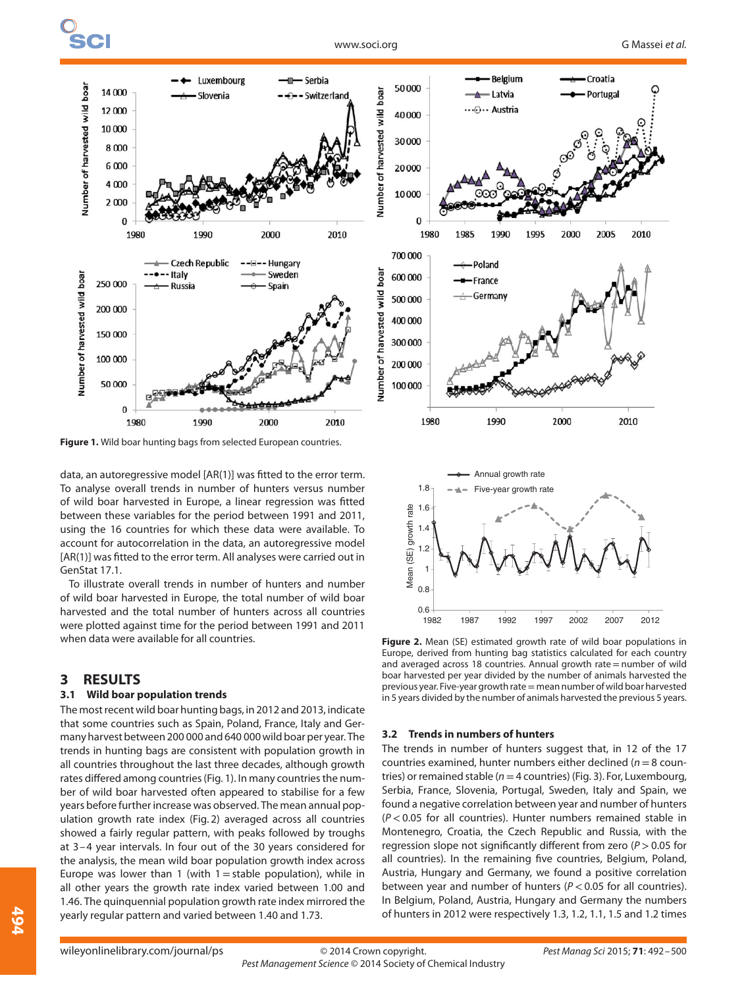

**Figure 1.** Wild boar hunting bags from selected European countries.

data, an autoregressive model [AR(1)] was fitted to the error term. To analyse overall trends in number of hunters versus number of wild boar harvested in Europe, a linear regression was fitted between these variables for the period between 1991 and 2011, using the 16 countries for which these data were available. To account for autocorrelation in the data, an autoregressive model [AR(1)] was fitted to the error term. All analyses were carried out in GenStat 17.1.

To illustrate overall trends in number of hunters and number of wild boar harvested in Europe, the total number of wild boar harvested and the total number of hunters across all countries were plotted against time for the period between 1991 and 2011 when data were available for all countries.

### **3 RESULTS**

#### **3.1 Wild boar population trends**

The most recent wild boar hunting bags, in 2012 and 2013, indicate that some countries such as Spain, Poland, France, Italy and Germany harvest between 200 000 and 640 000 wild boar per year. The trends in hunting bags are consistent with population growth in all countries throughout the last three decades, although growth rates differed among countries (Fig. 1). In many countries the number of wild boar harvested often appeared to stabilise for a few years before further increase was observed. The mean annual population growth rate index (Fig. 2) averaged across all countries showed a fairly regular pattern, with peaks followed by troughs at 3–4 year intervals. In four out of the 30 years considered for the analysis, the mean wild boar population growth index across Europe was lower than 1 (with  $1 =$  stable population), while in all other years the growth rate index varied between 1.00 and 1.46. The quinquennial population growth rate index mirrored the yearly regular pattern and varied between 1.40 and 1.73.



**Figure 2.** Mean (SE) estimated growth rate of wild boar populations in Europe, derived from hunting bag statistics calculated for each country and averaged across 18 countries. Annual growth rate=number of wild boar harvested per year divided by the number of animals harvested the previous year. Five-year growth rate= mean number of wild boar harvested in 5 years divided by the number of animals harvested the previous 5 years.

#### **3.2 Trends in numbers of hunters**

The trends in number of hunters suggest that, in 12 of the 17 countries examined, hunter numbers either declined ( $n=8$  countries) or remained stable ( $n=4$  countries) (Fig. 3). For, Luxembourg, Serbia, France, Slovenia, Portugal, Sweden, Italy and Spain, we found a negative correlation between year and number of hunters (P *<*0.05 for all countries). Hunter numbers remained stable in Montenegro, Croatia, the Czech Republic and Russia, with the regression slope not significantly different from zero (P *>*0.05 for all countries). In the remaining five countries, Belgium, Poland, Austria, Hungary and Germany, we found a positive correlation between year and number of hunters (P *<*0.05 for all countries). In Belgium, Poland, Austria, Hungary and Germany the numbers of hunters in 2012 were respectively 1.3, 1.2, 1.1, 1.5 and 1.2 times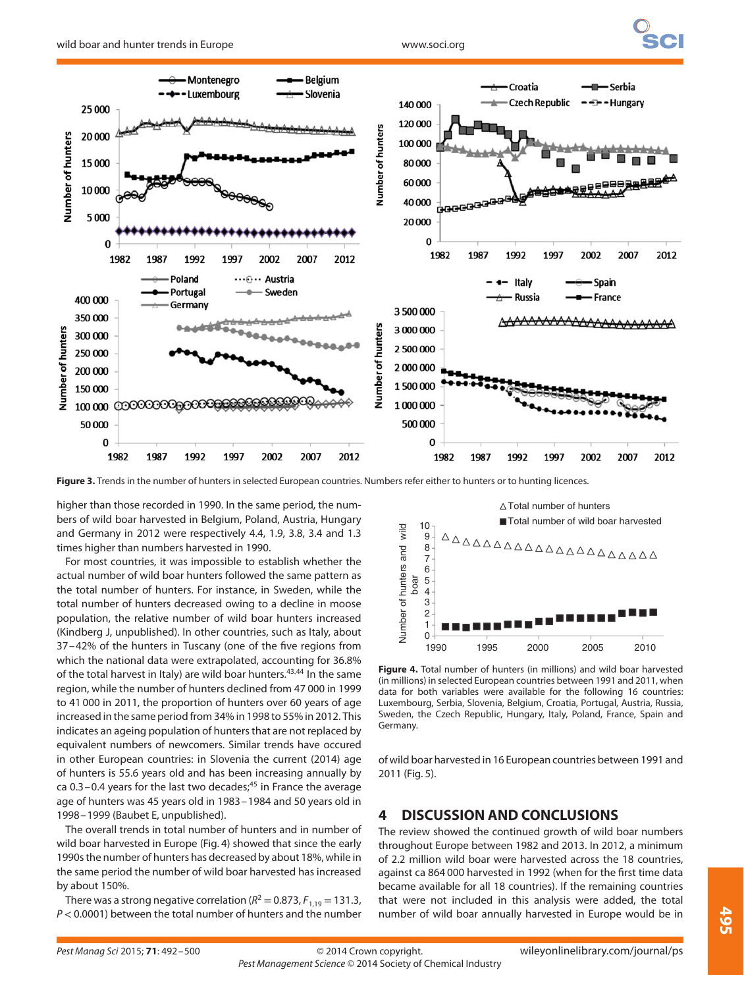

**Figure 3.** Trends in the number of hunters in selected European countries. Numbers refer either to hunters or to hunting licences.

higher than those recorded in 1990. In the same period, the numbers of wild boar harvested in Belgium, Poland, Austria, Hungary and Germany in 2012 were respectively 4.4, 1.9, 3.8, 3.4 and 1.3 times higher than numbers harvested in 1990.

For most countries, it was impossible to establish whether the actual number of wild boar hunters followed the same pattern as the total number of hunters. For instance, in Sweden, while the total number of hunters decreased owing to a decline in moose population, the relative number of wild boar hunters increased (Kindberg J, unpublished). In other countries, such as Italy, about 37–42% of the hunters in Tuscany (one of the five regions from which the national data were extrapolated, accounting for 36.8% of the total harvest in Italy) are wild boar hunters.43*,*<sup>44</sup> In the same region, while the number of hunters declined from 47 000 in 1999 to 41 000 in 2011, the proportion of hunters over 60 years of age increased in the same period from 34% in 1998 to 55% in 2012. This indicates an ageing population of hunters that are not replaced by equivalent numbers of newcomers. Similar trends have occured in other European countries: in Slovenia the current (2014) age of hunters is 55.6 years old and has been increasing annually by ca  $0.3$  – 0.4 years for the last two decades;<sup>45</sup> in France the average age of hunters was 45 years old in 1983–1984 and 50 years old in 1998–1999 (Baubet E, unpublished).

The overall trends in total number of hunters and in number of wild boar harvested in Europe (Fig. 4) showed that since the early 1990s the number of hunters has decreased by about 18%, while in the same period the number of wild boar harvested has increased by about 150%.

There was a strong negative correlation ( $R^2 = 0.873$ ,  $F_{1,19} = 131.3$ , P *<*0.0001) between the total number of hunters and the number



**Figure 4.** Total number of hunters (in millions) and wild boar harvested (in millions) in selected European countries between 1991 and 2011, when data for both variables were available for the following 16 countries: Luxembourg, Serbia, Slovenia, Belgium, Croatia, Portugal, Austria, Russia, Sweden, the Czech Republic, Hungary, Italy, Poland, France, Spain and Germany.

of wild boar harvested in 16 European countries between 1991 and 2011 (Fig. 5).

## **4 DISCUSSION AND CONCLUSIONS**

The review showed the continued growth of wild boar numbers throughout Europe between 1982 and 2013. In 2012, a minimum of 2.2 million wild boar were harvested across the 18 countries, against ca 864 000 harvested in 1992 (when for the first time data became available for all 18 countries). If the remaining countries that were not included in this analysis were added, the total number of wild boar annually harvested in Europe would be in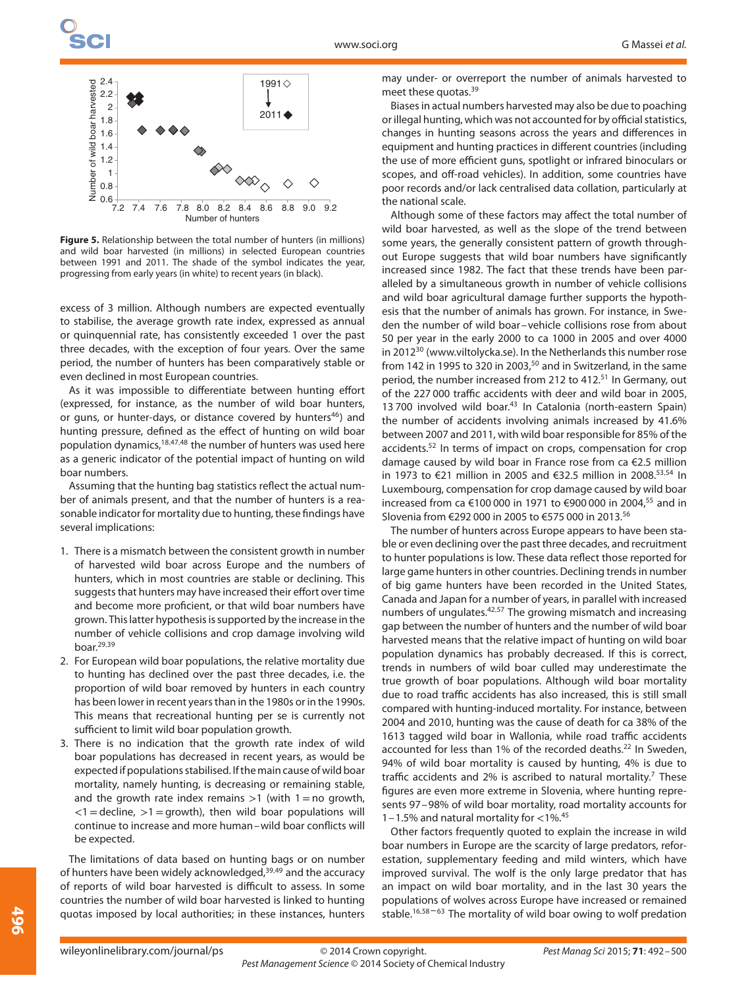

**Figure 5.** Relationship between the total number of hunters (in millions) and wild boar harvested (in millions) in selected European countries between 1991 and 2011. The shade of the symbol indicates the year, progressing from early years (in white) to recent years (in black).

excess of 3 million. Although numbers are expected eventually to stabilise, the average growth rate index, expressed as annual or quinquennial rate, has consistently exceeded 1 over the past three decades, with the exception of four years. Over the same period, the number of hunters has been comparatively stable or even declined in most European countries.

As it was impossible to differentiate between hunting effort (expressed, for instance, as the number of wild boar hunters, or guns, or hunter-days, or distance covered by hunters<sup>46</sup>) and hunting pressure, defined as the effect of hunting on wild boar population dynamics,18*,*47*,*<sup>48</sup> the number of hunters was used here as a generic indicator of the potential impact of hunting on wild boar numbers.

Assuming that the hunting bag statistics reflect the actual number of animals present, and that the number of hunters is a reasonable indicator for mortality due to hunting, these findings have several implications:

- 1. There is a mismatch between the consistent growth in number of harvested wild boar across Europe and the numbers of hunters, which in most countries are stable or declining. This suggests that hunters may have increased their effort over time and become more proficient, or that wild boar numbers have grown. This latter hypothesis is supported by the increase in the number of vehicle collisions and crop damage involving wild boar.29*,*<sup>39</sup>
- 2. For European wild boar populations, the relative mortality due to hunting has declined over the past three decades, i.e. the proportion of wild boar removed by hunters in each country has been lower in recent years than in the 1980s or in the 1990s. This means that recreational hunting per se is currently not sufficient to limit wild boar population growth.
- 3. There is no indication that the growth rate index of wild boar populations has decreased in recent years, as would be expected if populations stabilised. If the main cause of wild boar mortality, namely hunting, is decreasing or remaining stable, and the growth rate index remains *>*1 (with 1=no growth, *<*1=decline, *>*1=growth), then wild boar populations will continue to increase and more human–wild boar conflicts will be expected.

The limitations of data based on hunting bags or on number of hunters have been widely acknowledged,39*,*<sup>49</sup> and the accuracy of reports of wild boar harvested is difficult to assess. In some countries the number of wild boar harvested is linked to hunting quotas imposed by local authorities; in these instances, hunters may under- or overreport the number of animals harvested to meet these quotas.<sup>39</sup>

Biases in actual numbers harvested may also be due to poaching or illegal hunting, which was not accounted for by official statistics, changes in hunting seasons across the years and differences in equipment and hunting practices in different countries (including the use of more efficient guns, spotlight or infrared binoculars or scopes, and off-road vehicles). In addition, some countries have poor records and/or lack centralised data collation, particularly at the national scale.

Although some of these factors may affect the total number of wild boar harvested, as well as the slope of the trend between some years, the generally consistent pattern of growth throughout Europe suggests that wild boar numbers have significantly increased since 1982. The fact that these trends have been paralleled by a simultaneous growth in number of vehicle collisions and wild boar agricultural damage further supports the hypothesis that the number of animals has grown. For instance, in Sweden the number of wild boar–vehicle collisions rose from about 50 per year in the early 2000 to ca 1000 in 2005 and over 4000 in 201230 (www.viltolycka.se). In the Netherlands this number rose from 142 in 1995 to 320 in 2003, $50$  and in Switzerland, in the same period, the number increased from 212 to 412.<sup>51</sup> In Germany, out of the 227 000 traffic accidents with deer and wild boar in 2005, 13 700 involved wild boar.<sup>43</sup> In Catalonia (north-eastern Spain) the number of accidents involving animals increased by 41.6% between 2007 and 2011, with wild boar responsible for 85% of the accidents.52 In terms of impact on crops, compensation for crop damage caused by wild boar in France rose from ca €2.5 million in 1973 to €21 million in 2005 and €32.5 million in 2008.53*,*<sup>54</sup> In Luxembourg, compensation for crop damage caused by wild boar increased from ca €100 000 in 1971 to €900 000 in 2004,55 and in Slovenia from €292 000 in 2005 to €575 000 in 2013.56

The number of hunters across Europe appears to have been stable or even declining over the past three decades, and recruitment to hunter populations is low. These data reflect those reported for large game hunters in other countries. Declining trends in number of big game hunters have been recorded in the United States, Canada and Japan for a number of years, in parallel with increased numbers of ungulates.42*,*<sup>57</sup> The growing mismatch and increasing gap between the number of hunters and the number of wild boar harvested means that the relative impact of hunting on wild boar population dynamics has probably decreased. If this is correct, trends in numbers of wild boar culled may underestimate the true growth of boar populations. Although wild boar mortality due to road traffic accidents has also increased, this is still small compared with hunting-induced mortality. For instance, between 2004 and 2010, hunting was the cause of death for ca 38% of the 1613 tagged wild boar in Wallonia, while road traffic accidents accounted for less than 1% of the recorded deaths.<sup>22</sup> In Sweden, 94% of wild boar mortality is caused by hunting, 4% is due to traffic accidents and 2% is ascribed to natural mortality.<sup>7</sup> These figures are even more extreme in Slovenia, where hunting represents 97–98% of wild boar mortality, road mortality accounts for 1–1.5% and natural mortality for *<*1%.45

Other factors frequently quoted to explain the increase in wild boar numbers in Europe are the scarcity of large predators, reforestation, supplementary feeding and mild winters, which have improved survival. The wolf is the only large predator that has an impact on wild boar mortality, and in the last 30 years the populations of wolves across Europe have increased or remained stable.<sup>16,58-63</sup> The mortality of wild boar owing to wolf predation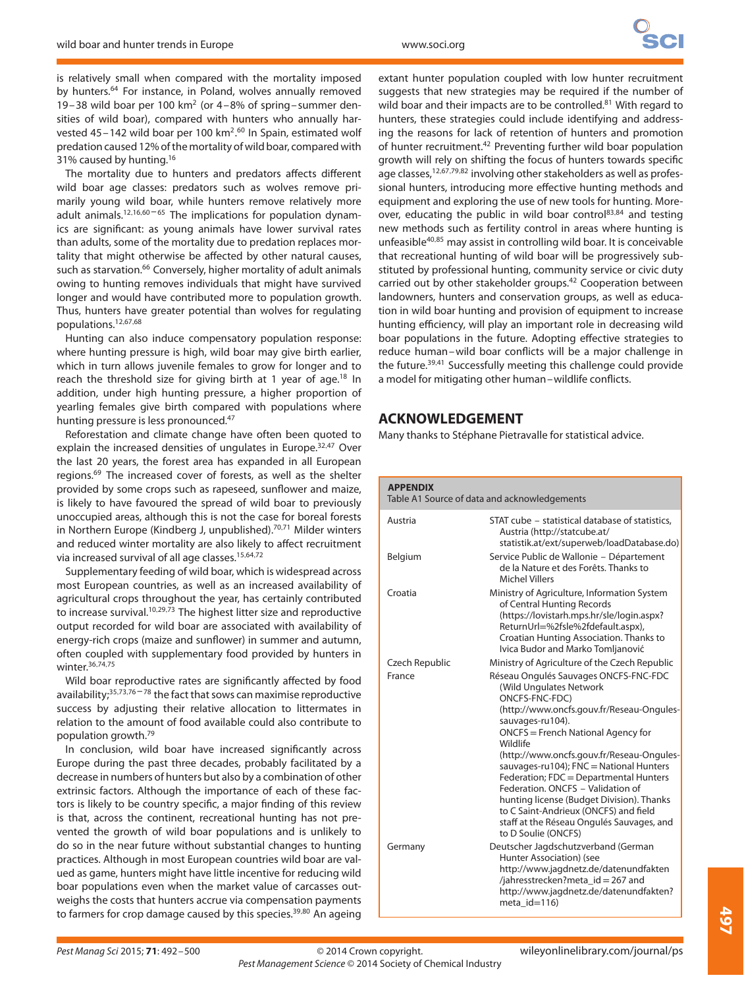is relatively small when compared with the mortality imposed by hunters.<sup>64</sup> For instance, in Poland, wolves annually removed 19–38 wild boar per 100  $km^2$  (or 4–8% of spring–summer densities of wild boar), compared with hunters who annually harvested 45-142 wild boar per 100 km<sup>2</sup>.<sup>60</sup> In Spain, estimated wolf predation caused 12% of the mortality of wild boar, compared with 31% caused by hunting.<sup>16</sup>

The mortality due to hunters and predators affects different wild boar age classes: predators such as wolves remove primarily young wild boar, while hunters remove relatively more adult animals.<sup>12,16,60-65</sup> The implications for population dynamics are significant: as young animals have lower survival rates than adults, some of the mortality due to predation replaces mortality that might otherwise be affected by other natural causes, such as starvation.<sup>66</sup> Conversely, higher mortality of adult animals owing to hunting removes individuals that might have survived longer and would have contributed more to population growth. Thus, hunters have greater potential than wolves for regulating populations.12*,*67*,*<sup>68</sup>

Hunting can also induce compensatory population response: where hunting pressure is high, wild boar may give birth earlier, which in turn allows juvenile females to grow for longer and to reach the threshold size for giving birth at 1 year of age.<sup>18</sup> In addition, under high hunting pressure, a higher proportion of yearling females give birth compared with populations where hunting pressure is less pronounced.<sup>47</sup>

Reforestation and climate change have often been quoted to explain the increased densities of ungulates in Europe.32*,*<sup>47</sup> Over the last 20 years, the forest area has expanded in all European regions.<sup>69</sup> The increased cover of forests, as well as the shelter provided by some crops such as rapeseed, sunflower and maize, is likely to have favoured the spread of wild boar to previously unoccupied areas, although this is not the case for boreal forests in Northern Europe (Kindberg J, unpublished).70*,*<sup>71</sup> Milder winters and reduced winter mortality are also likely to affect recruitment via increased survival of all age classes.15*,*64*,*<sup>72</sup>

Supplementary feeding of wild boar, which is widespread across most European countries, as well as an increased availability of agricultural crops throughout the year, has certainly contributed to increase survival.10*,*29*,*<sup>73</sup> The highest litter size and reproductive output recorded for wild boar are associated with availability of energy-rich crops (maize and sunflower) in summer and autumn, often coupled with supplementary food provided by hunters in winter.36*,*74*,*<sup>75</sup>

Wild boar reproductive rates are significantly affected by food availability;<sup>35,73,76-78</sup> the fact that sows can maximise reproductive success by adjusting their relative allocation to littermates in relation to the amount of food available could also contribute to population growth.79

In conclusion, wild boar have increased significantly across Europe during the past three decades, probably facilitated by a decrease in numbers of hunters but also by a combination of other extrinsic factors. Although the importance of each of these factors is likely to be country specific, a major finding of this review is that, across the continent, recreational hunting has not prevented the growth of wild boar populations and is unlikely to do so in the near future without substantial changes to hunting practices. Although in most European countries wild boar are valued as game, hunters might have little incentive for reducing wild boar populations even when the market value of carcasses outweighs the costs that hunters accrue via compensation payments to farmers for crop damage caused by this species.<sup>39,80</sup> An ageing

extant hunter population coupled with low hunter recruitment suggests that new strategies may be required if the number of wild boar and their impacts are to be controlled.<sup>81</sup> With regard to hunters, these strategies could include identifying and addressing the reasons for lack of retention of hunters and promotion of hunter recruitment.<sup>42</sup> Preventing further wild boar population growth will rely on shifting the focus of hunters towards specific age classes,12*,*67*,*79*,*<sup>82</sup> involving other stakeholders as well as professional hunters, introducing more effective hunting methods and equipment and exploring the use of new tools for hunting. Moreover, educating the public in wild boar control<sup>83,84</sup> and testing new methods such as fertility control in areas where hunting is unfeasible40*,*<sup>85</sup> may assist in controlling wild boar. It is conceivable that recreational hunting of wild boar will be progressively substituted by professional hunting, community service or civic duty carried out by other stakeholder groups.<sup>42</sup> Cooperation between landowners, hunters and conservation groups, as well as education in wild boar hunting and provision of equipment to increase hunting efficiency, will play an important role in decreasing wild boar populations in the future. Adopting effective strategies to reduce human–wild boar conflicts will be a major challenge in the future.39*,*<sup>41</sup> Successfully meeting this challenge could provide a model for mitigating other human–wildlife conflicts.

# **ACKNOWLEDGEMENT**

Many thanks to Stéphane Pietravalle for statistical advice.

| <b>APPENDIX</b><br>Table A1 Source of data and acknowledgements |                                                                                                                                                                                                                                                                                                                                                                                                                                                                                                                                        |  |
|-----------------------------------------------------------------|----------------------------------------------------------------------------------------------------------------------------------------------------------------------------------------------------------------------------------------------------------------------------------------------------------------------------------------------------------------------------------------------------------------------------------------------------------------------------------------------------------------------------------------|--|
| Austria                                                         | STAT cube - statistical database of statistics,<br>Austria (http://statcube.at/<br>statistik.at/ext/superweb/loadDatabase.do)                                                                                                                                                                                                                                                                                                                                                                                                          |  |
| Belgium                                                         | Service Public de Wallonie - Département<br>de la Nature et des Forêts. Thanks to<br><b>Michel Villers</b>                                                                                                                                                                                                                                                                                                                                                                                                                             |  |
| Croatia                                                         | Ministry of Agriculture, Information System<br>of Central Hunting Records<br>(https://lovistarh.mps.hr/sle/login.aspx?<br>ReturnUrl=%2fsle%2fdefault.aspx),<br>Croatian Hunting Association. Thanks to<br>Ivica Budor and Marko Tomljanović                                                                                                                                                                                                                                                                                            |  |
| Czech Republic                                                  | Ministry of Agriculture of the Czech Republic                                                                                                                                                                                                                                                                                                                                                                                                                                                                                          |  |
| France                                                          | Réseau Ongulés Sauvages ONCFS-FNC-FDC<br>(Wild Ungulates Network<br>ONCFS-FNC-FDC)<br>(http://www.oncfs.gouv.fr/Reseau-Ongules-<br>sauvages-ru104).<br>ONCFS = French National Agency for<br>Wildlife<br>(http://www.oncfs.gouv.fr/Reseau-Ongules-<br>sauvages-ru104); FNC = National Hunters<br>Federation; FDC = Departmental Hunters<br>Federation, ONCFS - Validation of<br>hunting license (Budget Division). Thanks<br>to C Saint-Andrieux (ONCFS) and field<br>staff at the Réseau Ongulés Sauvages, and<br>to D Soulie (ONCFS) |  |
| Germany                                                         | Deutscher Jagdschutzverband (German<br>Hunter Association) (see<br>http://www.jagdnetz.de/datenundfakten<br>/jahresstrecken?meta_id = 267 and<br>http://www.jagdnetz.de/datenundfakten?<br>meta $id=116$                                                                                                                                                                                                                                                                                                                               |  |
|                                                                 |                                                                                                                                                                                                                                                                                                                                                                                                                                                                                                                                        |  |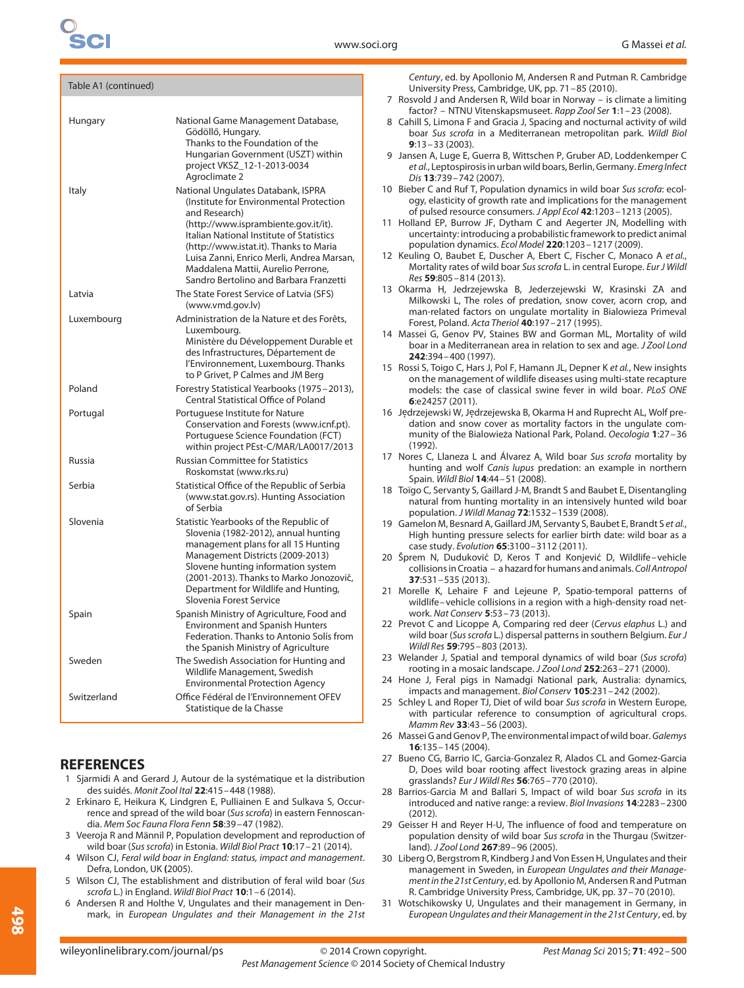| Table A1 (continued) |                                                                                                                                                                                                                                                                                                               |  |
|----------------------|---------------------------------------------------------------------------------------------------------------------------------------------------------------------------------------------------------------------------------------------------------------------------------------------------------------|--|
| Hungary              | National Game Management Database,<br>Gödöllő, Hungary.<br>Thanks to the Foundation of the<br>Hungarian Government (USZT) within                                                                                                                                                                              |  |
| Italy                | project VKSZ_12-1-2013-0034<br>Agroclimate 2<br>National Ungulates Databank, ISPRA<br>(Institute for Environmental Protection<br>and Research)                                                                                                                                                                |  |
|                      | (http://www.isprambiente.gov.it/it).<br>Italian National Institute of Statistics<br>(http://www.istat.it). Thanks to Maria<br>Luisa Zanni, Enrico Merli, Andrea Marsan,<br>Maddalena Mattii, Aurelio Perrone,<br>Sandro Bertolino and Barbara Franzetti                                                       |  |
| Latvia               | The State Forest Service of Latvia (SFS)<br>(www.vmd.gov.lv)                                                                                                                                                                                                                                                  |  |
| Luxembourg           | Administration de la Nature et des Forêts,<br>Luxembourg.<br>Ministère du Développement Durable et                                                                                                                                                                                                            |  |
|                      | des Infrastructures, Département de<br>l'Environnement, Luxembourg. Thanks<br>to P Grivet, P Calmes and JM Berg                                                                                                                                                                                               |  |
| Poland               | Forestry Statistical Yearbooks (1975-2013),<br><b>Central Statistical Office of Poland</b>                                                                                                                                                                                                                    |  |
| Portugal             | Portuguese Institute for Nature<br>Conservation and Forests (www.icnf.pt).<br>Portuguese Science Foundation (FCT)<br>within project PEst-C/MAR/LA0017/2013                                                                                                                                                    |  |
| Russia               | <b>Russian Committee for Statistics</b><br>Roskomstat (www.rks.ru)                                                                                                                                                                                                                                            |  |
| Serbia               | Statistical Office of the Republic of Serbia<br>(www.stat.gov.rs). Hunting Association<br>of Serbia                                                                                                                                                                                                           |  |
| Slovenia             | Statistic Yearbooks of the Republic of<br>Slovenia (1982-2012), annual hunting<br>management plans for all 15 Hunting<br>Management Districts (2009-2013)<br>Slovene hunting information system<br>(2001-2013). Thanks to Marko Jonozovič,<br>Department for Wildlife and Hunting,<br>Slovenia Forest Service |  |
| Spain                | Spanish Ministry of Agriculture, Food and<br><b>Environment and Spanish Hunters</b><br>Federation. Thanks to Antonio Solís from<br>the Spanish Ministry of Agriculture                                                                                                                                        |  |
| Sweden               | The Swedish Association for Hunting and<br>Wildlife Management, Swedish<br><b>Environmental Protection Agency</b>                                                                                                                                                                                             |  |
| Switzerland          | Office Fédéral de l'Environnement OFEV<br>Statistique de la Chasse                                                                                                                                                                                                                                            |  |

# **REFERENCES**

- 1 Sjarmidi A and Gerard J, Autour de la systématique et la distribution des suidés. Monit Zool Ital **22**:415–448 (1988).
- 2 Erkinaro E, Heikura K, Lindgren E, Pulliainen E and Sulkava S, Occurrence and spread of the wild boar (Sus scrofa) in eastern Fennoscandia. Mem Soc Fauna Flora Fenn **58**:39–47 (1982).
- 3 Veeroja R and Männil P, Population development and reproduction of wild boar (Sus scrofa) in Estonia. Wildl Biol Pract **10**:17–21 (2014).
- 4 Wilson CJ, Feral wild boar in England: status, impact and management. Defra, London, UK **(**2005).
- 5 Wilson CJ, The establishment and distribution of feral wild boar (Sus scrofa L.) in England. Wildl Biol Pract **10**:1–6 (2014).
- 6 Andersen R and Holthe V, Ungulates and their management in Denmark, in European Ungulates and their Management in the 21st

Century, ed. by Apollonio M, Andersen R and Putman R. Cambridge University Press, Cambridge, UK, pp. 71–85 (2010).

- 7 Rosvold J and Andersen R, Wild boar in Norway is climate a limiting factor? – NTNU Vitenskapsmuseet. Rapp Zool Ser **1**:1–23 (2008).
- 8 Cahill S, Limona F and Gracia J, Spacing and nocturnal activity of wild boar Sus scrofa in a Mediterranean metropolitan park. Wildl Biol **9**:13–33 (2003).
- 9 Jansen A, Luge E, Guerra B, Wittschen P, Gruber AD, Loddenkemper C et al., Leptospirosis in urban wild boars, Berlin, Germany. Emerg Infect Dis **13**:739–742 (2007).
- 10 Bieber C and Ruf T, Population dynamics in wild boar Sus scrofa: ecology, elasticity of growth rate and implications for the management of pulsed resource consumers. J Appl Ecol **42**:1203–1213 (2005).
- 11 Holland EP, Burrow JF, Dytham C and Aegerter JN, Modelling with uncertainty: introducing a probabilistic framework to predict animal population dynamics. Ecol Model **220**:1203–1217 (2009).
- 12 Keuling O, Baubet E, Duscher A, Ebert C, Fischer C, Monaco A et al., Mortality rates of wild boar Sus scrofa L. in central Europe. Eur J Wildl Res **59**:805–814 (2013).
- 13 Okarma H, Jedrzejewska B, Jederzejewski W, Krasinski ZA and Milkowski L, The roles of predation, snow cover, acorn crop, and man-related factors on ungulate mortality in Bialowieza Primeval Forest, Poland. Acta Theriol **40**:197–217 (1995).
- 14 Massei G, Genov PV, Staines BW and Gorman ML, Mortality of wild boar in a Mediterranean area in relation to sex and age. J Zool Lond **242**:394–400 (1997).
- 15 Rossi S, Toigo C, Hars J, Pol F, Hamann JL, Depner K et al., New insights on the management of wildlife diseases using multi-state recapture models: the case of classical swine fever in wild boar. PLoS ONE **6**:e24257 (2011).
- 16 Jędrzejewski W, Jędrzejewska B, Okarma H and Ruprecht AL, Wolf predation and snow cover as mortality factors in the ungulate community of the Bialowieza National Park, Poland. *̇* Oecologia **1**:27–36 (1992).
- 17 Nores C, Llaneza L and Álvarez A, Wild boar Sus scrofa mortality by hunting and wolf Canis lupus predation: an example in northern Spain. Wildl Biol **14**:44–51 (2008).
- 18 Toïgo C, Servanty S, Gaillard J-M, Brandt S and Baubet E, Disentangling natural from hunting mortality in an intensively hunted wild boar population. J Wildl Manag **72**:1532–1539 (2008).
- 19 Gamelon M, Besnard A, Gaillard JM, Servanty S, Baubet E, Brandt S et al., High hunting pressure selects for earlier birth date: wild boar as a case study. Evolution **65**:3100–3112 (2011).
- 20 Šprem N, Duduković D, Keros T and Konjević D, Wildlife-vehicle collisions in Croatia – a hazard for humans and animals. Coll Antropol **37**:531–535 (2013).
- 21 Morelle K, Lehaire F and Lejeune P, Spatio-temporal patterns of wildlife–vehicle collisions in a region with a high-density road network. Nat Conserv **5**:53–73 (2013).
- 22 Prevot C and Licoppe A, Comparing red deer (Cervus elaphus L.) and wild boar (Sus scrofa L.) dispersal patterns in southern Belgium. Eur J Wildl Res **59**:795–803 (2013).
- 23 Welander J, Spatial and temporal dynamics of wild boar (Sus scrofa) rooting in a mosaic landscape. J Zool Lond **252**:263–271 (2000).
- 24 Hone J, Feral pigs in Namadgi National park, Australia: dynamics, impacts and management. Biol Conserv **105**:231–242 (2002).
- 25 Schley L and Roper TJ, Diet of wild boar Sus scrofa in Western Europe, with particular reference to consumption of agricultural crops. Mamm Rev **33**:43–56 (2003).
- 26 Massei G and Genov P, The environmental impact of wild boar. Galemys **16**:135–145 (2004).
- 27 Bueno CG, Barrio IC, Garcia-Gonzalez R, Alados CL and Gomez-Garcia D, Does wild boar rooting affect livestock grazing areas in alpine grasslands? Eur J Wildl Res **56**:765–770 (2010).
- 28 Barrios-Garcia M and Ballari S, Impact of wild boar Sus scrofa in its introduced and native range: a review. Biol Invasions **14**:2283–2300 (2012).
- 29 Geisser H and Reyer H-U, The influence of food and temperature on population density of wild boar Sus scrofa in the Thurgau (Switzerland). J Zool Lond **267**:89–96 (2005).
- 30 Liberg O, Bergstrom R, Kindberg J and Von Essen H, Ungulates and their management in Sweden, in European Ungulates and their Management in the 21st Century, ed. by Apollonio M, Andersen R and Putman R. Cambridge University Press, Cambridge, UK, pp. 37–70 (2010).
- 31 Wotschikowsky U, Ungulates and their management in Germany, in European Ungulates and their Management in the 21st Century, ed. by

**498**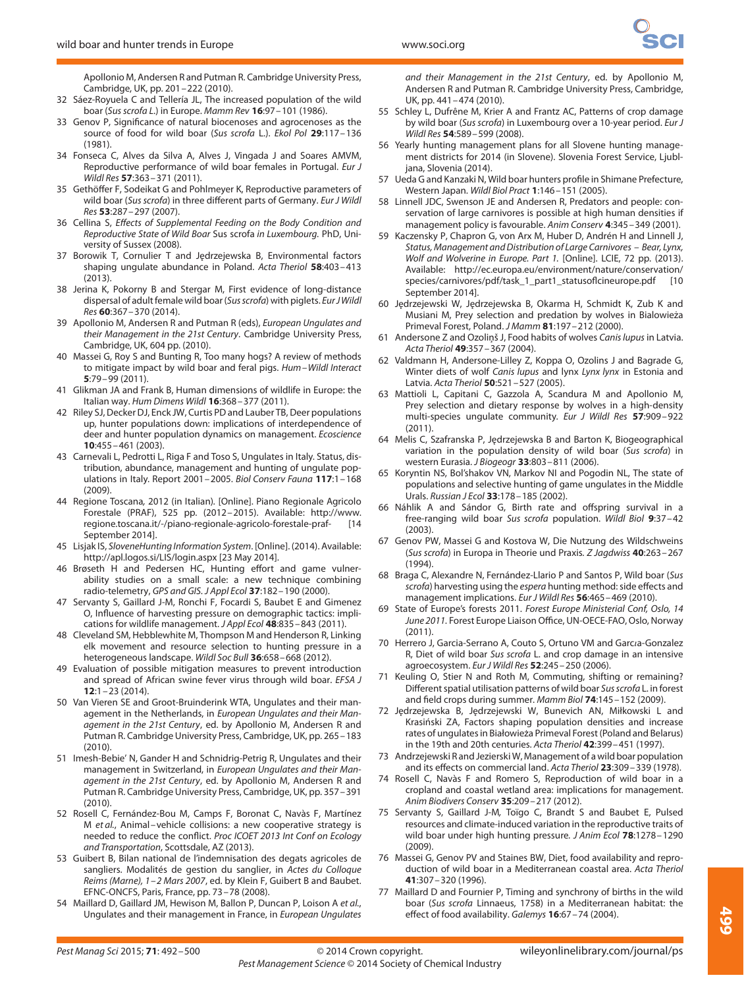Apollonio M, Andersen R and Putman R. Cambridge University Press, Cambridge, UK, pp. 201–222 (2010).

- 32 Sáez-Royuela C and Tellería JL, The increased population of the wild boar (Sus scrofa L.) in Europe. Mamm Rev **16**:97–101 (1986).
- 33 Genov P, Significance of natural biocenoses and agrocenoses as the source of food for wild boar (Sus scrofa L.). Ekol Pol **29**:117–136 (1981).
- 34 Fonseca C, Alves da Silva A, Alves J, Vingada J and Soares AMVM, Reproductive performance of wild boar females in Portugal. Eur J Wildl Res **57**:363–371 (2011).
- 35 Gethöffer F, Sodeikat G and Pohlmeyer K, Reproductive parameters of wild boar (Sus scrofa) in three different parts of Germany. Eur J Wildl Res **53**:287–297 (2007).
- 36 Cellina S, Effects of Supplemental Feeding on the Body Condition and Reproductive State of Wild Boar Sus scrofa in Luxembourg. PhD, University of Sussex (2008).
- 37 Borowik T, Cornulier T and Jędrzejewska B, Environmental factors shaping ungulate abundance in Poland. Acta Theriol **58**:403–413 (2013).
- 38 Jerina K, Pokorny B and Stergar M, First evidence of long-distance dispersal of adult female wild boar (Sus scrofa) with piglets. Eur JWildl Res **60**:367–370 (2014).
- 39 Apollonio M, Andersen R and Putman R (eds), European Ungulates and their Management in the 21st Century. Cambridge University Press, Cambridge, UK, 604 pp. (2010).
- 40 Massei G, Roy S and Bunting R, Too many hogs? A review of methods to mitigate impact by wild boar and feral pigs. Hum–Wildl Interact **5**:79–99 (2011).
- 41 Glikman JA and Frank B, Human dimensions of wildlife in Europe: the Italian way. Hum Dimens Wildl **16**:368–377 (2011).
- 42 Riley SJ, Decker DJ, Enck JW, Curtis PD and Lauber TB, Deer populations up, hunter populations down: implications of interdependence of deer and hunter population dynamics on management. Ecoscience **10**:455–461 (2003).
- 43 Carnevali L, Pedrotti L, Riga F and Toso S, Ungulates in Italy. Status, distribution, abundance, management and hunting of ungulate populations in Italy. Report 2001–2005. Biol Conserv Fauna **117**:1–168 (2009).
- 44 Regione Toscana, 2012 (in Italian). [Online]. Piano Regionale Agricolo Forestale (PRAF), 525 pp. (2012–2015). Available: http://www. regione.toscana.it/-/piano-regionale-agricolo-forestale-praf- [14 September 2014].
- 45 Lisjak IS, SloveneHunting Information System. [Online]. (2014). Available: http://apl.logos.si/LIS/login.aspx [23 May 2014].
- 46 Brøseth H and Pedersen HC, Hunting effort and game vulnerability studies on a small scale: a new technique combining radio-telemetry, GPS and GIS. J Appl Ecol **37**:182–190 (2000).
- 47 Servanty S, Gaillard J-M, Ronchi F, Focardi S, Baubet E and Gimenez O, Influence of harvesting pressure on demographic tactics: implications for wildlife management. J Appl Ecol **48**:835–843 (2011).
- 48 Cleveland SM, Hebblewhite M, Thompson M and Henderson R, Linking elk movement and resource selection to hunting pressure in a heterogeneous landscape. Wildl Soc Bull **36**:658–668 (2012).
- 49 Evaluation of possible mitigation measures to prevent introduction and spread of African swine fever virus through wild boar. EFSA J **12**:1–23 (2014).
- 50 Van Vieren SE and Groot-Bruinderink WTA, Ungulates and their management in the Netherlands, in European Ungulates and their Management in the 21st Century, ed. by Apollonio M, Andersen R and Putman R. Cambridge University Press, Cambridge, UK, pp. 265–183 (2010).
- 51 Imesh-Bebie' N, Gander H and Schnidrig-Petrig R, Ungulates and their management in Switzerland, in European Ungulates and their Management in the 21st Century, ed. by Apollonio M, Andersen R and Putman R. Cambridge University Press, Cambridge, UK, pp. 357–391 (2010).
- 52 Rosell C, Fernández-Bou M, Camps F, Boronat C, Navàs F, Martínez M et al., Animal–vehicle collisions: a new cooperative strategy is needed to reduce the conflict. Proc ICOET 2013 Int Conf on Ecology and Transportation, Scottsdale, AZ (2013).
- 53 Guibert B, Bilan national de l'indemnisation des degats agricoles de sangliers. Modalités de gestion du sanglier, in Actes du Colloque Reims (Marne), 1–2 Mars 2007, ed. by Klein F, Guibert B and Baubet. EFNC-ONCFS, Paris, France, pp. 73–78 (2008).
- 54 Maillard D, Gaillard JM, Hewison M, Ballon P, Duncan P, Loison A et al., Ungulates and their management in France, in European Ungulates

and their Management in the 21st Century, ed. by Apollonio M, Andersen R and Putman R. Cambridge University Press, Cambridge, UK, pp. 441–474 (2010).

- 55 Schley L, Dufrêne M, Krier A and Frantz AC, Patterns of crop damage by wild boar (Sus scrofa) in Luxembourg over a 10-year period. Eur J Wildl Res **54**:589–599 (2008).
- 56 Yearly hunting management plans for all Slovene hunting management districts for 2014 (in Slovene). Slovenia Forest Service, Ljubljana, Slovenia (2014).
- 57 Ueda G and Kanzaki N, Wild boar hunters profile in Shimane Prefecture, Western Japan. Wildl Biol Pract **1**:146–151 (2005).
- 58 Linnell JDC, Swenson JE and Andersen R, Predators and people: conservation of large carnivores is possible at high human densities if management policy is favourable. Anim Conserv **4**:345–349 (2001).
- 59 Kaczensky P, Chapron G, von Arx M, Huber D, Andrén H and Linnell J, Status, Management and Distribution of Large Carnivores – Bear, Lynx, Wolf and Wolverine in Europe. Part 1. [Online]. LCIE, 72 pp. (2013). Available: http://ec.europa.eu/environment/nature/conservation/ species/carnivores/pdf/task\_1\_part1\_statusoflcineurope.pdf [10 September 2014].
- 60 Jędrzejewski W, Jędrzejewska B, Okarma H, Schmidt K, Zub K and Musiani M, Prey selection and predation by wolves in Bialowieza*̇* Primeval Forest, Poland. J Mamm **81**:197–212 (2000).
- 61 Andersone Z and Ozoliņš J, Food habits of wolves Canis lupus in Latvia. Acta Theriol **49**:357–367 (2004).
- 62 Valdmann H, Andersone-Lilley Z, Koppa O, Ozolins J and Bagrade G, Winter diets of wolf Canis lupus and lynx Lynx lynx in Estonia and Latvia. Acta Theriol **50**:521–527 (2005).
- 63 Mattioli L, Capitani C, Gazzola A, Scandura M and Apollonio M, Prey selection and dietary response by wolves in a high-density multi-species ungulate community. Eur J Wildl Res **57**:909–922 (2011).
- 64 Melis C, Szafranska P, Jędrzejewska B and Barton K, Biogeographical variation in the population density of wild boar (Sus scrofa) in western Eurasia. J Biogeogr **33**:803–811 (2006).
- 65 Koryntin NS, Bol'shakov VN, Markov NI and Pogodin NL, The state of populations and selective hunting of game ungulates in the Middle Urals. Russian J Ecol **33**:178–185 (2002).
- 66 Náhlik A and Sándor G, Birth rate and offspring survival in a free-ranging wild boar Sus scrofa population. Wildl Biol **9**:37–42 (2003).
- 67 Genov PW, Massei G and Kostova W, Die Nutzung des Wildschweins (Sus scrofa) in Europa in Theorie und Praxis. Z Jagdwiss **40**:263–267  $(1994)$
- 68 Braga C, Alexandre N, Fernández-Llario P and Santos P, Wild boar (Sus scrofa) harvesting using the espera hunting method: side effects and management implications. Eur J Wildl Res **56**:465–469 (2010).
- 69 State of Europe's forests 2011. Forest Europe Ministerial Conf, Oslo, 14 June 2011. Forest Europe Liaison Office, UN-OECE-FAO, Oslo, Norway (2011).
- 70 Herrero J, Garcia-Serrano A, Couto S, Ortuno VM and Garca-Gonzalez R, Diet of wild boar Sus scrofa L. and crop damage in an intensive agroecosystem. Eur J Wildl Res **52**:245–250 (2006).
- 71 Keuling O, Stier N and Roth M, Commuting, shifting or remaining? Different spatial utilisation patterns of wild boar Sus scrofa L. in forest and field crops during summer. Mamm Biol **74**:145–152 (2009).
- 72 Jędrzejewska B, Jędrzejewski W, Bunevich AN, Miłkowski L and Krasiński ZA, Factors shaping population densities and increase rates of ungulates in Białowieza Primeval Forest (Poland and Belarus) *̇* in the 19th and 20th centuries. Acta Theriol **42**:399–451 (1997).
- 73 Andrzejewski R and Jezierski W, Management of a wild boar population and its effects on commercial land. Acta Theriol **23**:309–339 (1978).
- 74 Rosell C, Navàs F and Romero S, Reproduction of wild boar in a cropland and coastal wetland area: implications for management. Anim Biodivers Conserv **35**:209–217 (2012).
- 75 Servanty S, Gaillard J-M, Toïgo C, Brandt S and Baubet E, Pulsed resources and climate-induced variation in the reproductive traits of wild boar under high hunting pressure. J Anim Ecol **78**:1278–1290 (2009).
- 76 Massei G, Genov PV and Staines BW, Diet, food availability and reproduction of wild boar in a Mediterranean coastal area. Acta Theriol **41**:307–320 (1996).
- 77 Maillard D and Fournier P, Timing and synchrony of births in the wild boar (Sus scrofa Linnaeus, 1758) in a Mediterranean habitat: the effect of food availability. Galemys **16**:67–74 (2004).